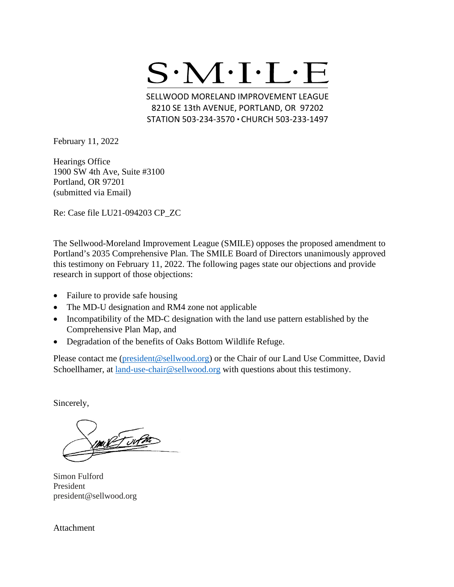

SELLWOOD MORELAND IMPROVEMENT LEAGUE 8210 SE 13th AVENUE, PORTLAND, OR 97202 STATION 503-234-3570 · CHURCH 503-233-1497

February 11, 2022

Hearings Office 1900 SW 4th Ave, Suite #3100 Portland, OR 97201 (submitted via Email)

Re: Case file LU21-094203 CP\_ZC

The Sellwood-Moreland Improvement League (SMILE) opposes the proposed amendment to Portland's 2035 Comprehensive Plan. The SMILE Board of Directors unanimously approved this testimony on February 11, 2022. The following pages state our objections and provide research in support of those objections:

- Failure to provide safe housing
- The MD-U designation and RM4 zone not applicable
- Incompatibility of the MD-C designation with the land use pattern established by the Comprehensive Plan Map, and
- Degradation of the benefits of Oaks Bottom Wildlife Refuge.

Please contact me [\(president@sellwood.org\)](mailto:president@sellwood.org) or the Chair of our Land Use Committee, David Schoellhamer, at [land-use-chair@sellwood.org](mailto:chair.landuse.smile@gmail.com) with questions about this testimony.

Sincerely,

mil Turn

Simon Fulford President president@sellwood.org

Attachment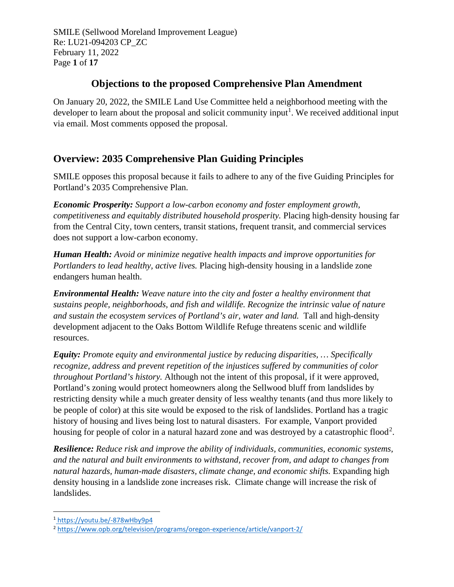SMILE (Sellwood Moreland Improvement League) Re: LU21-094203 CP\_ZC February 11, 2022 Page **1** of **17**

### **Objections to the proposed Comprehensive Plan Amendment**

On January 20, 2022, the SMILE Land Use Committee held a neighborhood meeting with the developer to learn about the proposal and solicit community input<sup>[1](#page-1-0)</sup>. We received additional input via email. Most comments opposed the proposal.

## **Overview: 2035 Comprehensive Plan Guiding Principles**

SMILE opposes this proposal because it fails to adhere to any of the five Guiding Principles for Portland's 2035 Comprehensive Plan.

*Economic Prosperity: Support a low-carbon economy and foster employment growth, competitiveness and equitably distributed household prosperity.* Placing high-density housing far from the Central City, town centers, transit stations, frequent transit, and commercial services does not support a low-carbon economy.

*Human Health: Avoid or minimize negative health impacts and improve opportunities for Portlanders to lead healthy, active lives.* Placing high-density housing in a landslide zone endangers human health.

*Environmental Health: Weave nature into the city and foster a healthy environment that sustains people, neighborhoods, and fish and wildlife. Recognize the intrinsic value of nature and sustain the ecosystem services of Portland's air, water and land.* Tall and high-density development adjacent to the Oaks Bottom Wildlife Refuge threatens scenic and wildlife resources.

*Equity: Promote equity and environmental justice by reducing disparities, … Specifically recognize, address and prevent repetition of the injustices suffered by communities of color throughout Portland's history.* Although not the intent of this proposal, if it were approved, Portland's zoning would protect homeowners along the Sellwood bluff from landslides by restricting density while a much greater density of less wealthy tenants (and thus more likely to be people of color) at this site would be exposed to the risk of landslides. Portland has a tragic history of housing and lives being lost to natural disasters. For example, Vanport provided housing for people of color in a natural hazard zone and was destroyed by a catastrophic flood<sup>[2](#page-1-1)</sup>.

*Resilience: Reduce risk and improve the ability of individuals, communities, economic systems, and the natural and built environments to withstand, recover from, and adapt to changes from natural hazards, human-made disasters, climate change, and economic shifts.* Expanding high density housing in a landslide zone increases risk. Climate change will increase the risk of landslides.

<span id="page-1-0"></span><sup>1</sup> <https://youtu.be/-878wHby9p4>

<span id="page-1-1"></span><sup>2</sup> <https://www.opb.org/television/programs/oregon-experience/article/vanport-2/>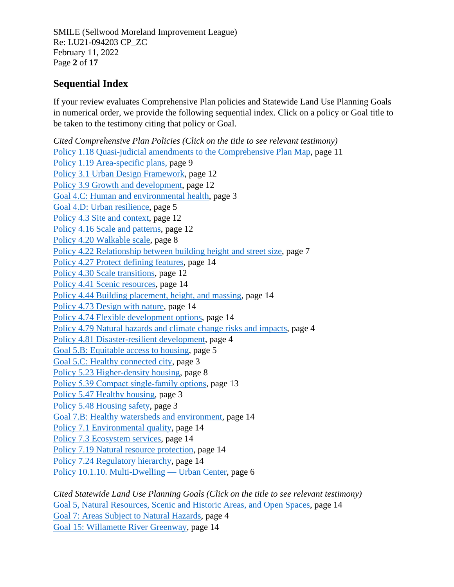SMILE (Sellwood Moreland Improvement League) Re: LU21-094203 CP\_ZC February 11, 2022 Page **2** of **17**

## <span id="page-2-0"></span>**Sequential Index**

If your review evaluates Comprehensive Plan policies and Statewide Land Use Planning Goals in numerical order, we provide the following sequential index. Click on a policy or Goal title to be taken to the testimony citing that policy or Goal.

*Cited Comprehensive Plan Policies (Click on the title to see relevant testimony)* [Policy 1.18 Quasi-judicial amendments to the Comprehensive Plan Map,](#page-11-0) page 11 [Policy 1.19 Area-specific plans,](#page-9-0) page 9 [Policy 3.1 Urban Design Framework,](#page-12-0) page 12 [Policy 3.9 Growth and development,](#page-12-0) page 12 [Goal 4.C: Human and environmental health,](#page-3-0) page 3 [Goal 4.D: Urban resilience,](#page-5-0) page 5 [Policy 4.3 Site and context,](#page-12-0) page 12 [Policy 4.16 Scale and patterns,](#page-12-0) page 12 [Policy 4.20 Walkable scale,](#page-8-0) page 8 [Policy 4.22 Relationship between building height and street size,](#page-7-0) page 7 [Policy 4.27 Protect defining features,](#page-14-0) page 14 [Policy 4.30 Scale transitions,](#page-12-0) page 12 [Policy 4.41 Scenic resources,](#page-14-0) page 14 [Policy 4.44 Building placement, height, and massing,](#page-14-0) page 14 [Policy 4.73 Design with nature,](#page-14-0) page 14 [Policy 4.74 Flexible development options,](#page-14-0) page 14 [Policy 4.79 Natural hazards and climate change risks and impacts,](#page-4-0) page 4 [Policy 4.81 Disaster-resilient development,](#page-4-0) page 4 [Goal 5.B: Equitable access to housing,](#page-5-1) page 5 [Goal 5.C: Healthy connected city,](#page-3-0) page 3 [Policy 5.23 Higher-density housing,](#page-8-0) page 8 Policy 5.39 Compact single-family options, page 13 [Policy 5.47 Healthy housing,](#page-3-0) page 3 [Policy 5.48 Housing safety,](#page-3-0) page 3 [Goal 7.B: Healthy watersheds and environment,](#page-14-0) page 14 [Policy 7.1 Environmental quality,](#page-14-0) page 14 [Policy 7.3 Ecosystem services,](#page-14-0) page 14 [Policy 7.19 Natural resource protection,](#page-14-0) page 14 [Policy 7.24 Regulatory hierarchy,](#page-14-0) page 14 [Policy 10.1.10. Multi-Dwelling —](#page-6-0) Urban Center, page 6

*Cited Statewide Land Use Planning Goals (Click on the title to see relevant testimony)* [Goal 5, Natural Resources, Scenic and Historic Areas, and Open Spaces,](#page-14-0) page 14 [Goal 7: Areas Subject to Natural Hazards,](#page-4-0) page 4 [Goal 15: Willamette River Greenway,](#page-14-0) page 14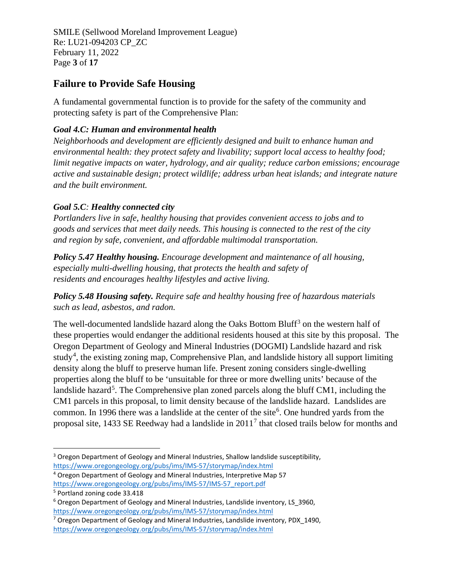SMILE (Sellwood Moreland Improvement League) Re: LU21-094203 CP\_ZC February 11, 2022 Page **3** of **17**

### <span id="page-3-0"></span>**Failure to Provide Safe Housing**

A fundamental governmental function is to provide for the safety of the community and protecting safety is part of the Comprehensive Plan:

#### *Goal 4.C: Human and environmental health*

*Neighborhoods and development are efficiently designed and built to enhance human and environmental health: they protect safety and livability; support local access to healthy food; limit negative impacts on water, hydrology, and air quality; reduce carbon emissions; encourage active and sustainable design; protect wildlife; address urban heat islands; and integrate nature and the built environment.*

### *Goal 5.C: Healthy connected city*

*Portlanders live in safe, healthy housing that provides convenient access to jobs and to goods and services that meet daily needs. This housing is connected to the rest of the city and region by safe, convenient, and affordable multimodal transportation.*

*Policy 5.47 Healthy housing. Encourage development and maintenance of all housing, especially multi-dwelling housing, that protects the health and safety of residents and encourages healthy lifestyles and active living.*

*Policy 5.48 Housing safety. Require safe and healthy housing free of hazardous materials such as lead, asbestos, and radon.*

The well-documented landslide hazard along the Oaks Bottom Bluff<sup>[3](#page-3-1)</sup> on the western half of these properties would endanger the additional residents housed at this site by this proposal. The Oregon Department of Geology and Mineral Industries (DOGMI) Landslide hazard and risk study<sup>[4](#page-3-2)</sup>, the existing zoning map, Comprehensive Plan, and landslide history all support limiting density along the bluff to preserve human life. Present zoning considers single-dwelling properties along the bluff to be 'unsuitable for three or more dwelling units' because of the landslide hazard<sup>[5](#page-3-3)</sup>. The Comprehensive plan zoned parcels along the bluff CM1, including the CM1 parcels in this proposal, to limit density because of the landslide hazard. Landslides are common. In 199[6](#page-3-4) there was a landslide at the center of the site<sup>6</sup>. One hundred yards from the proposal site, 1433 SE Reedway had a landslide in 2011[7](#page-3-5) that closed trails below for months and

<span id="page-3-1"></span><sup>&</sup>lt;sup>3</sup> Oregon Department of Geology and Mineral Industries, Shallow landslide susceptibility,

<https://www.oregongeology.org/pubs/ims/IMS-57/storymap/index.html>

<span id="page-3-2"></span><sup>4</sup> Oregon Department of Geology and Mineral Industries, Interpretive Map 57 [https://www.oregongeology.org/pubs/ims/IMS-57/IMS-57\\_report.pdf](https://www.oregongeology.org/pubs/ims/IMS-57/IMS-57_report.pdf)

<span id="page-3-3"></span><sup>5</sup> Portland zoning code 33.418

<span id="page-3-4"></span><sup>&</sup>lt;sup>6</sup> Oregon Department of Geology and Mineral Industries, Landslide inventory, LS 3960, <https://www.oregongeology.org/pubs/ims/IMS-57/storymap/index.html>

<span id="page-3-5"></span><sup>&</sup>lt;sup>7</sup> Oregon Department of Geology and Mineral Industries, Landslide inventory, PDX 1490, <https://www.oregongeology.org/pubs/ims/IMS-57/storymap/index.html>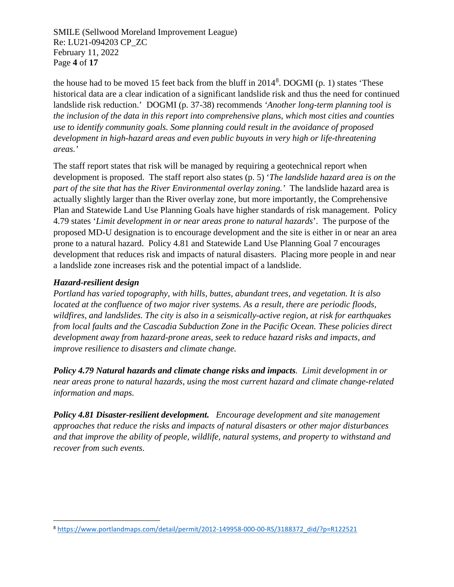SMILE (Sellwood Moreland Improvement League) Re: LU21-094203 CP\_ZC February 11, 2022 Page **4** of **17**

the house had to be moved 15 feet back from the bluff in 2014<sup>[8](#page-4-1)</sup>. DOGMI (p. 1) states 'These historical data are a clear indication of a significant landslide risk and thus the need for continued landslide risk reduction.' DOGMI (p. 37-38) recommends *'Another long-term planning tool is the inclusion of the data in this report into comprehensive plans, which most cities and counties use to identify community goals. Some planning could result in the avoidance of proposed development in high-hazard areas and even public buyouts in very high or life-threatening areas.'*

<span id="page-4-0"></span>The staff report states that risk will be managed by requiring a geotechnical report when development is proposed. The staff report also states (p. 5) '*The landslide hazard area is on the part of the site that has the River Environmental overlay zoning.'* The landslide hazard area is actually slightly larger than the River overlay zone, but more importantly, the Comprehensive Plan and Statewide Land Use Planning Goals have higher standards of risk management. Policy 4.79 states '*Limit development in or near areas prone to natural hazards*'. The purpose of the proposed MD-U designation is to encourage development and the site is either in or near an area prone to a natural hazard. Policy 4.81 and Statewide Land Use Planning Goal 7 encourages development that reduces risk and impacts of natural disasters. Placing more people in and near a landslide zone increases risk and the potential impact of a landslide.

#### *Hazard-resilient design*

*Portland has varied topography, with hills, buttes, abundant trees, and vegetation. It is also located at the confluence of two major river systems. As a result, there are periodic floods, wildfires, and landslides. The city is also in a seismically-active region, at risk for earthquakes from local faults and the Cascadia Subduction Zone in the Pacific Ocean. These policies direct development away from hazard-prone areas, seek to reduce hazard risks and impacts, and improve resilience to disasters and climate change.*

*Policy 4.79 Natural hazards and climate change risks and impacts. Limit development in or near areas prone to natural hazards, using the most current hazard and climate change-related information and maps.*

*Policy 4.81 Disaster-resilient development. Encourage development and site management approaches that reduce the risks and impacts of natural disasters or other major disturbances and that improve the ability of people, wildlife, natural systems, and property to withstand and recover from such events.*

<span id="page-4-1"></span><sup>8</sup> [https://www.portlandmaps.com/detail/permit/2012-149958-000-00-RS/3188372\\_did/?p=R122521](https://www.portlandmaps.com/detail/permit/2012-149958-000-00-RS/3188372_did/?p=R122521)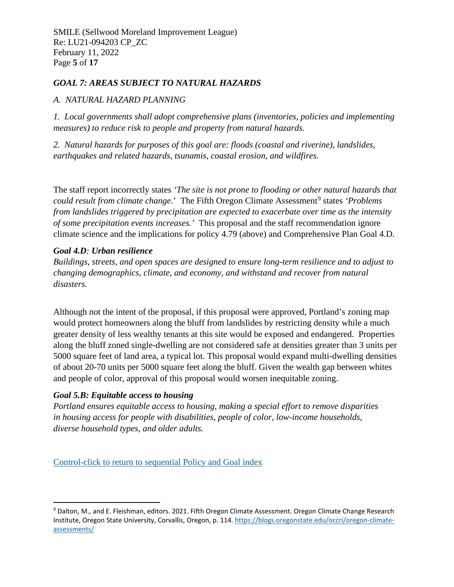SMILE (Sellwood Moreland Improvement League) Re: LU21-094203 CP\_ZC February 11, 2022 Page **5** of **17**

#### *GOAL 7: AREAS SUBJECT TO NATURAL HAZARDS*

#### *A. NATURAL HAZARD PLANNING*

*1. Local governments shall adopt comprehensive plans (inventories, policies and implementing measures) to reduce risk to people and property from natural hazards.*

*2. Natural hazards for purposes of this goal are: floods (coastal and riverine), landslides, earthquakes and related hazards, tsunamis, coastal erosion, and wildfires.*

<span id="page-5-0"></span>The staff report incorrectly states *'The site is not prone to flooding or other natural hazards that could result from climate change.*' The Fifth Oregon Climate Assessment<sup>[9](#page-5-2)</sup> states *'Problems from landslides triggered by precipitation are expected to exacerbate over time as the intensity of some precipitation events increases.'* This proposal and the staff recommendation ignore climate science and the implications for policy 4.79 (above) and Comprehensive Plan Goal 4.D.

#### *Goal 4.D: Urban resilience*

*Buildings, streets, and open spaces are designed to ensure long-term resilience and to adjust to changing demographics, climate, and economy, and withstand and recover from natural disasters.*

<span id="page-5-1"></span>Although not the intent of the proposal, if this proposal were approved, Portland's zoning map would protect homeowners along the bluff from landslides by restricting density while a much greater density of less wealthy tenants at this site would be exposed and endangered. Properties along the bluff zoned single-dwelling are not considered safe at densities greater than 3 units per 5000 square feet of land area, a typical lot. This proposal would expand multi-dwelling densities of about 20-70 units per 5000 square feet along the bluff. Given the wealth gap between whites and people of color, approval of this proposal would worsen inequitable zoning.

#### *Goal 5.B: Equitable access to housing*

*Portland ensures equitable access to housing, making a special effort to remove disparities in housing access for people with disabilities, people of color, low-income households, diverse household types, and older adults.*

[Control-click to return to sequential Policy and Goal index](#page-2-0)

<span id="page-5-2"></span><sup>9</sup> Dalton, M., and E. Fleishman, editors. 2021. Fifth Oregon Climate Assessment. Oregon Climate Change Research Institute, Oregon State University, Corvallis, Oregon, p. 114[. https://blogs.oregonstate.edu/occri/oregon-climate](https://blogs.oregonstate.edu/occri/oregon-climate-assessments/)[assessments/](https://blogs.oregonstate.edu/occri/oregon-climate-assessments/)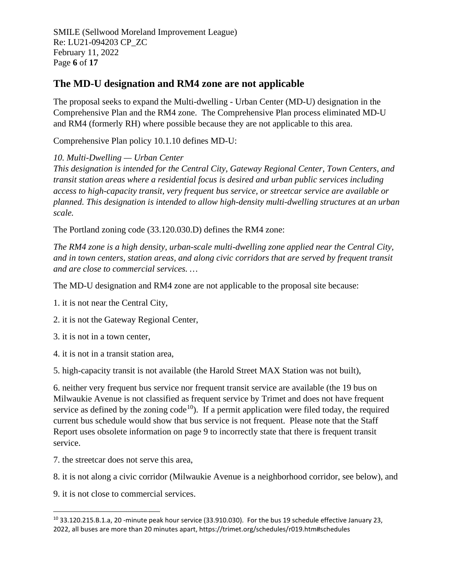SMILE (Sellwood Moreland Improvement League) Re: LU21-094203 CP\_ZC February 11, 2022 Page **6** of **17**

### **The MD-U designation and RM4 zone are not applicable**

The proposal seeks to expand the Multi-dwelling - Urban Center (MD-U) designation in the Comprehensive Plan and the RM4 zone. The Comprehensive Plan process eliminated MD-U and RM4 (formerly RH) where possible because they are not applicable to this area.

<span id="page-6-0"></span>Comprehensive Plan policy 10.1.10 defines MD-U:

*10. Multi-Dwelling — Urban Center*

*This designation is intended for the Central City, Gateway Regional Center, Town Centers, and transit station areas where a residential focus is desired and urban public services including access to high-capacity transit, very frequent bus service, or streetcar service are available or planned. This designation is intended to allow high-density multi-dwelling structures at an urban scale.*

The Portland zoning code (33.120.030.D) defines the RM4 zone:

*The RM4 zone is a high density, urban-scale multi-dwelling zone applied near the Central City, and in town centers, station areas, and along civic corridors that are served by frequent transit and are close to commercial services. …*

The MD-U designation and RM4 zone are not applicable to the proposal site because:

1. it is not near the Central City,

2. it is not the Gateway Regional Center,

3. it is not in a town center,

4. it is not in a transit station area,

5. high-capacity transit is not available (the Harold Street MAX Station was not built),

6. neither very frequent bus service nor frequent transit service are available (the 19 bus on Milwaukie Avenue is not classified as frequent service by Trimet and does not have frequent service as defined by the zoning code<sup>10</sup>). If a permit application were filed today, the required current bus schedule would show that bus service is not frequent. Please note that the Staff Report uses obsolete information on page 9 to incorrectly state that there is frequent transit service.

7. the streetcar does not serve this area,

8. it is not along a civic corridor (Milwaukie Avenue is a neighborhood corridor, see below), and

9. it is not close to commercial services.

<span id="page-6-1"></span><sup>10</sup> 33.120.215.B.1.a, 20 -minute peak hour service (33.910.030). For the bus 19 schedule effective January 23, 2022, all buses are more than 20 minutes apart, https://trimet.org/schedules/r019.htm#schedules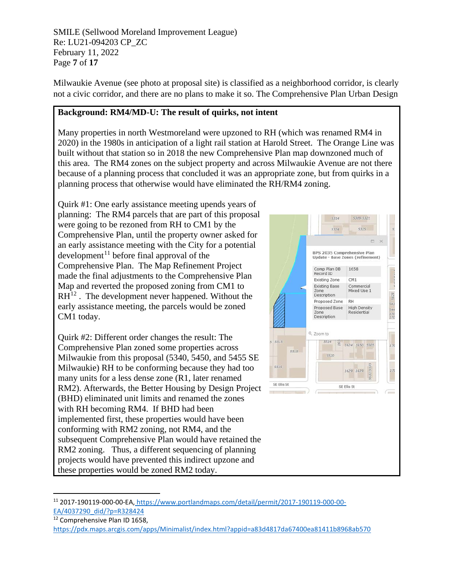SMILE (Sellwood Moreland Improvement League) Re: LU21-094203 CP\_ZC February 11, 2022 Page **7** of **17**

Milwaukie Avenue (see photo at proposal site) is classified as a neighborhood corridor, is clearly not a civic corridor, and there are no plans to make it so. The Comprehensive Plan Urban Design

#### <span id="page-7-0"></span>**Background: RM4/MD-U: The result of quirks, not intent**

Many properties in north Westmoreland were upzoned to RH (which was renamed RM4 in 2020) in the 1980s in anticipation of a light rail station at Harold Street. The Orange Line was built without that station so in 2018 the new Comprehensive Plan map downzoned much of this area. The RM4 zones on the subject property and across Milwaukie Avenue are not there because of a planning process that concluded it was an appropriate zone, but from quirks in a planning process that otherwise would have eliminated the RH/RM4 zoning.

Quirk #1: One early assistance meeting upends years of planning: The RM4 parcels that are part of this proposal were going to be rezoned from RH to CM1 by the Comprehensive Plan, until the property owner asked for an early assistance meeting with the City for a potential development<sup>[11](#page-7-1)</sup> before final approval of the Comprehensive Plan. The Map Refinement Project made the final adjustments to the Comprehensive Plan Map and reverted the proposed zoning from CM1 to  $RH^{12}$  $RH^{12}$  $RH^{12}$ . The development never happened. Without the early assistance meeting, the parcels would be zoned CM1 today.

Quirk #2: Different order changes the result: The Comprehensive Plan zoned some properties across Milwaukie from this proposal (5340, 5450, and 5455 SE Milwaukie) RH to be conforming because they had too many units for a less dense zone (R1, later renamed RM2). Afterwards, the Better Housing by Design Project (BHD) eliminated unit limits and renamed the zones with RH becoming RM4. If BHD had been implemented first, these properties would have been conforming with RM2 zoning, not RM4, and the subsequent Comprehensive Plan would have retained the RM2 zoning. Thus, a different sequencing of planning projects would have prevented this indirect upzone and these properties would be zoned RM2 today.



<span id="page-7-2"></span><sup>12</sup> Comprehensive Plan ID 1658,

<span id="page-7-1"></span><sup>11</sup> 2017-190119-000-00-EA, [https://www.portlandmaps.com/detail/permit/2017-190119-000-00-](https://www.portlandmaps.com/detail/permit/2017-190119-000-00-EA/4037290_did/?p=R328424) [EA/4037290\\_did/?p=R328424](https://www.portlandmaps.com/detail/permit/2017-190119-000-00-EA/4037290_did/?p=R328424)

<https://pdx.maps.arcgis.com/apps/Minimalist/index.html?appid=a83d4817da67400ea81411b8968ab570>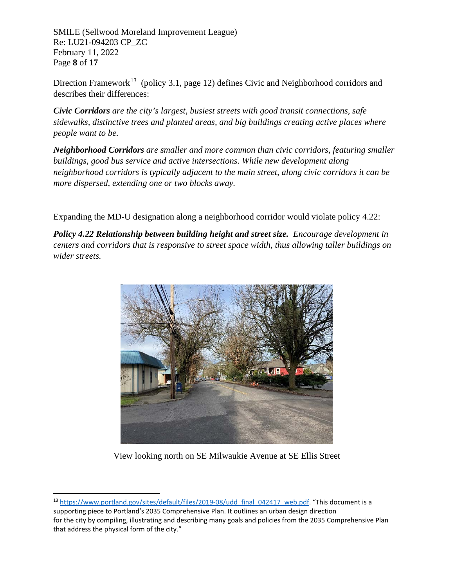SMILE (Sellwood Moreland Improvement League) Re: LU21-094203 CP\_ZC February 11, 2022 Page **8** of **17**

Direction Framework<sup>[13](#page-8-1)</sup> (policy 3.1, page 12) defines Civic and Neighborhood corridors and describes their differences:

*Civic Corridors are the city's largest, busiest streets with good transit connections, safe sidewalks, distinctive trees and planted areas, and big buildings creating active places where people want to be.*

*Neighborhood Corridors are smaller and more common than civic corridors, featuring smaller buildings, good bus service and active intersections. While new development along neighborhood corridors is typically adjacent to the main street, along civic corridors it can be more dispersed, extending one or two blocks away.*

Expanding the MD-U designation along a neighborhood corridor would violate policy 4.22:

<span id="page-8-0"></span>*Policy 4.22 Relationship between building height and street size. Encourage development in centers and corridors that is responsive to street space width, thus allowing taller buildings on wider streets.*



View looking north on SE Milwaukie Avenue at SE Ellis Street

<span id="page-8-1"></span><sup>&</sup>lt;sup>13</sup> [https://www.portland.gov/sites/default/files/2019-08/udd\\_final\\_042417\\_web.pdf.](https://www.portland.gov/sites/default/files/2019-08/udd_final_042417_web.pdf) "This document is a supporting piece to Portland's 2035 Comprehensive Plan. It outlines an urban design direction for the city by compiling, illustrating and describing many goals and policies from the 2035 Comprehensive Plan that address the physical form of the city."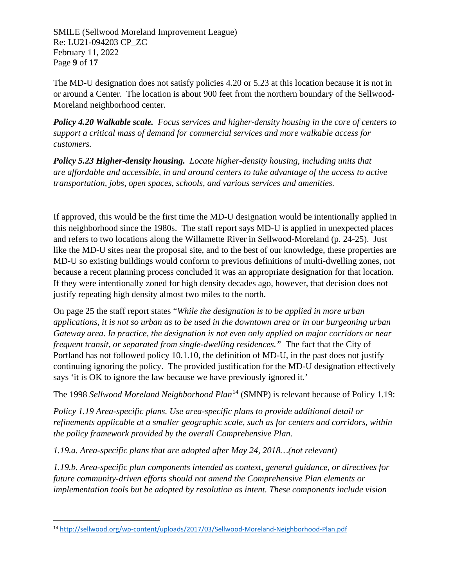SMILE (Sellwood Moreland Improvement League) Re: LU21-094203 CP\_ZC February 11, 2022 Page **9** of **17**

The MD-U designation does not satisfy policies 4.20 or 5.23 at this location because it is not in or around a Center. The location is about 900 feet from the northern boundary of the Sellwood-Moreland neighborhood center.

*Policy 4.20 Walkable scale. Focus services and higher-density housing in the core of centers to support a critical mass of demand for commercial services and more walkable access for customers.*

*Policy 5.23 Higher-density housing. Locate higher-density housing, including units that are affordable and accessible, in and around centers to take advantage of the access to active transportation, jobs, open spaces, schools, and various services and amenities.*

If approved, this would be the first time the MD-U designation would be intentionally applied in this neighborhood since the 1980s. The staff report says MD-U is applied in unexpected places and refers to two locations along the Willamette River in Sellwood-Moreland (p. 24-25). Just like the MD-U sites near the proposal site, and to the best of our knowledge, these properties are MD-U so existing buildings would conform to previous definitions of multi-dwelling zones, not because a recent planning process concluded it was an appropriate designation for that location. If they were intentionally zoned for high density decades ago, however, that decision does not justify repeating high density almost two miles to the north.

On page 25 the staff report states "*While the designation is to be applied in more urban applications, it is not so urban as to be used in the downtown area or in our burgeoning urban Gateway area. In practice, the designation is not even only applied on major corridors or near frequent transit, or separated from single-dwelling residences."* The fact that the City of Portland has not followed policy 10.1.10, the definition of MD-U, in the past does not justify continuing ignoring the policy. The provided justification for the MD-U designation effectively says 'it is OK to ignore the law because we have previously ignored it.'

<span id="page-9-0"></span>The 1998 *Sellwood Moreland Neighborhood Plan*[14](#page-9-1) (SMNP) is relevant because of Policy 1.19:

*Policy 1.19 Area-specific plans. Use area-specific plans to provide additional detail or refinements applicable at a smaller geographic scale, such as for centers and corridors, within the policy framework provided by the overall Comprehensive Plan.*

*1.19.a. Area-specific plans that are adopted after May 24, 2018…(not relevant)*

*1.19.b. Area-specific plan components intended as context, general guidance, or directives for future community-driven efforts should not amend the Comprehensive Plan elements or implementation tools but be adopted by resolution as intent. These components include vision*

<span id="page-9-1"></span><sup>14</sup> <http://sellwood.org/wp-content/uploads/2017/03/Sellwood-Moreland-Neighborhood-Plan.pdf>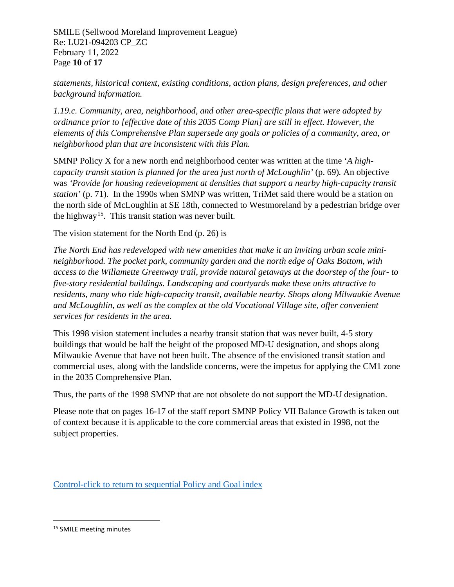SMILE (Sellwood Moreland Improvement League) Re: LU21-094203 CP\_ZC February 11, 2022 Page **10** of **17**

*statements, historical context, existing conditions, action plans, design preferences, and other background information.*

*1.19.c. Community, area, neighborhood, and other area-specific plans that were adopted by ordinance prior to [effective date of this 2035 Comp Plan] are still in effect. However, the elements of this Comprehensive Plan supersede any goals or policies of a community, area, or neighborhood plan that are inconsistent with this Plan.*

SMNP Policy X for a new north end neighborhood center was written at the time '*A highcapacity transit station is planned for the area just north of McLoughlin'* (p. 69)*.* An objective was *'Provide for housing redevelopment at densities that support a nearby high-capacity transit station'* (p. 71)*.* In the 1990s when SMNP was written, TriMet said there would be a station on the north side of McLoughlin at SE 18th, connected to Westmoreland by a pedestrian bridge over the highway<sup>15</sup>. This transit station was never built.

The vision statement for the North End (p. 26) is

*The North End has redeveloped with new amenities that make it an inviting urban scale minineighborhood. The pocket park, community garden and the north edge of Oaks Bottom, with access to the Willamette Greenway trail, provide natural getaways at the doorstep of the four- to five-story residential buildings. Landscaping and courtyards make these units attractive to residents, many who ride high-capacity transit, available nearby. Shops along Milwaukie Avenue and McLoughlin, as well as the complex at the old Vocational Village site, offer convenient services for residents in the area.*

This 1998 vision statement includes a nearby transit station that was never built, 4-5 story buildings that would be half the height of the proposed MD-U designation, and shops along Milwaukie Avenue that have not been built. The absence of the envisioned transit station and commercial uses, along with the landslide concerns, were the impetus for applying the CM1 zone in the 2035 Comprehensive Plan.

Thus, the parts of the 1998 SMNP that are not obsolete do not support the MD-U designation.

Please note that on pages 16-17 of the staff report SMNP Policy VII Balance Growth is taken out of context because it is applicable to the core commercial areas that existed in 1998, not the subject properties.

[Control-click to return to sequential Policy and Goal index](#page-2-0)

<span id="page-10-0"></span><sup>15</sup> SMILE meeting minutes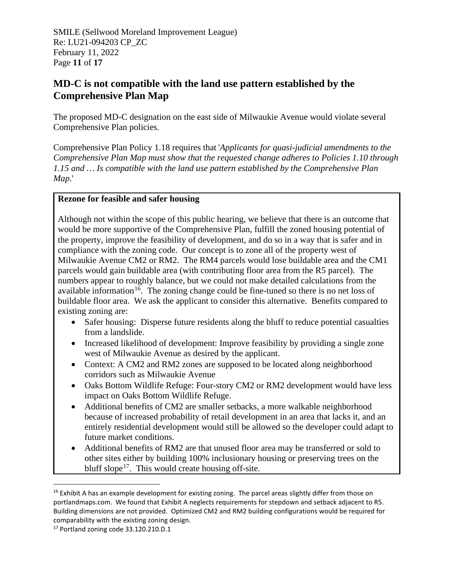SMILE (Sellwood Moreland Improvement League) Re: LU21-094203 CP\_ZC February 11, 2022 Page **11** of **17**

### **MD-C is not compatible with the land use pattern established by the Comprehensive Plan Map**

<span id="page-11-0"></span>The proposed MD-C designation on the east side of Milwaukie Avenue would violate several Comprehensive Plan policies.

Comprehensive Plan Policy 1.18 requires that '*Applicants for quasi-judicial amendments to the Comprehensive Plan Map must show that the requested change adheres to Policies 1.10 through 1.15 and … Is compatible with the land use pattern established by the Comprehensive Plan Map*.'

#### **Rezone for feasible and safer housing**

Although not within the scope of this public hearing, we believe that there is an outcome that would be more supportive of the Comprehensive Plan, fulfill the zoned housing potential of the property, improve the feasibility of development, and do so in a way that is safer and in compliance with the zoning code. Our concept is to zone all of the property west of Milwaukie Avenue CM2 or RM2. The RM4 parcels would lose buildable area and the CM1 parcels would gain buildable area (with contributing floor area from the R5 parcel). The numbers appear to roughly balance, but we could not make detailed calculations from the available information<sup>16</sup>. The zoning change could be fine-tuned so there is no net loss of buildable floor area. We ask the applicant to consider this alternative. Benefits compared to existing zoning are:

- Safer housing: Disperse future residents along the bluff to reduce potential casualties from a landslide.
- Increased likelihood of development: Improve feasibility by providing a single zone west of Milwaukie Avenue as desired by the applicant.
- Context: A CM2 and RM2 zones are supposed to be located along neighborhood corridors such as Milwaukie Avenue
- Oaks Bottom Wildlife Refuge: Four-story CM2 or RM2 development would have less impact on Oaks Bottom Wildlife Refuge.
- Additional benefits of CM2 are smaller setbacks, a more walkable neighborhood because of increased probability of retail development in an area that lacks it, and an entirely residential development would still be allowed so the developer could adapt to future market conditions.
- Additional benefits of RM2 are that unused floor area may be transferred or sold to other sites either by building 100% inclusionary housing or preserving trees on the bluff slope<sup>[17](#page-11-2)</sup>. This would create housing off-site.

<span id="page-11-1"></span> $16$  Exhibit A has an example development for existing zoning. The parcel areas slightly differ from those on portlandmaps.com. We found that Exhibit A neglects requirements for stepdown and setback adjacent to R5. Building dimensions are not provided. Optimized CM2 and RM2 building configurations would be required for comparability with the existing zoning design.

<span id="page-11-2"></span><sup>17</sup> Portland zoning code 33.120.210.D.1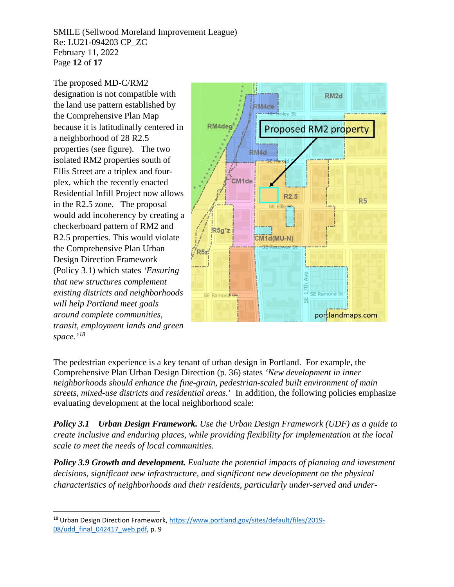SMILE (Sellwood Moreland Improvement League) Re: LU21-094203 CP\_ZC February 11, 2022 Page **12** of **17**

The proposed MD-C/RM2 designation is not compatible with the land use pattern established by the Comprehensive Plan Map because it is latitudinally centered in a neighborhood of 28 R2.5 properties (see figure). The two isolated RM2 properties south of Ellis Street are a triplex and fourplex, which the recently enacted Residential Infill Project now allows in the R2.5 zone. The proposal would add incoherency by creating a checkerboard pattern of RM2 and R2.5 properties. This would violate the Comprehensive Plan Urban Design Direction Framework (Policy 3.1) which states *'Ensuring that new structures complement existing districts and neighborhoods will help Portland meet goals around complete communities, transit, employment lands and green space.'[18](#page-12-1)*



<span id="page-12-0"></span>The pedestrian experience is a key tenant of urban design in Portland. For example, the Comprehensive Plan Urban Design Direction (p. 36) states *'New development in inner neighborhoods should enhance the fine-grain, pedestrian-scaled built environment of main streets, mixed-use districts and residential areas.*' In addition, the following policies emphasize evaluating development at the local neighborhood scale:

*Policy 3.1 Urban Design Framework. Use the Urban Design Framework (UDF) as a guide to create inclusive and enduring places, while providing flexibility for implementation at the local scale to meet the needs of local communities.*

*Policy 3.9 Growth and development. Evaluate the potential impacts of planning and investment decisions, significant new infrastructure, and significant new development on the physical characteristics of neighborhoods and their residents, particularly under-served and under-*

<span id="page-12-1"></span><sup>18</sup> Urban Design Direction Framework[, https://www.portland.gov/sites/default/files/2019-](https://www.portland.gov/sites/default/files/2019-08/udd_final_042417_web.pdf) [08/udd\\_final\\_042417\\_web.pdf,](https://www.portland.gov/sites/default/files/2019-08/udd_final_042417_web.pdf) p. 9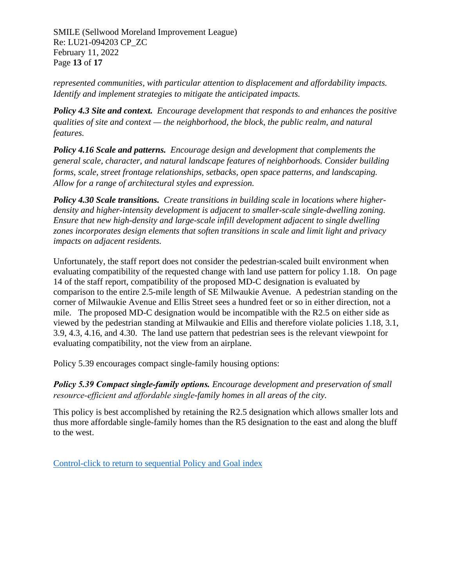SMILE (Sellwood Moreland Improvement League) Re: LU21-094203 CP\_ZC February 11, 2022 Page **13** of **17**

*represented communities, with particular attention to displacement and affordability impacts. Identify and implement strategies to mitigate the anticipated impacts.*

*Policy 4.3 Site and context. Encourage development that responds to and enhances the positive qualities of site and context — the neighborhood, the block, the public realm, and natural features.* 

*Policy 4.16 Scale and patterns. Encourage design and development that complements the general scale, character, and natural landscape features of neighborhoods. Consider building forms, scale, street frontage relationships, setbacks, open space patterns, and landscaping. Allow for a range of architectural styles and expression.*

*Policy 4.30 Scale transitions. Create transitions in building scale in locations where higherdensity and higher-intensity development is adjacent to smaller-scale single-dwelling zoning. Ensure that new high-density and large-scale infill development adjacent to single dwelling zones incorporates design elements that soften transitions in scale and limit light and privacy impacts on adjacent residents.*

Unfortunately, the staff report does not consider the pedestrian-scaled built environment when evaluating compatibility of the requested change with land use pattern for policy 1.18. On page 14 of the staff report, compatibility of the proposed MD-C designation is evaluated by comparison to the entire 2.5-mile length of SE Milwaukie Avenue. A pedestrian standing on the corner of Milwaukie Avenue and Ellis Street sees a hundred feet or so in either direction, not a mile. The proposed MD-C designation would be incompatible with the R2.5 on either side as viewed by the pedestrian standing at Milwaukie and Ellis and therefore violate policies 1.18, 3.1, 3.9, 4.3, 4.16, and 4.30. The land use pattern that pedestrian sees is the relevant viewpoint for evaluating compatibility, not the view from an airplane.

<span id="page-13-0"></span>Policy 5.39 encourages compact single-family housing options:

*Policy 5.39 Compact single‐family options. Encourage development and preservation of small resource‐efficient and affordable single-family homes in all areas of the city.*

This policy is best accomplished by retaining the R2.5 designation which allows smaller lots and thus more affordable single-family homes than the R5 designation to the east and along the bluff to the west.

[Control-click to return to sequential Policy and Goal index](#page-2-0)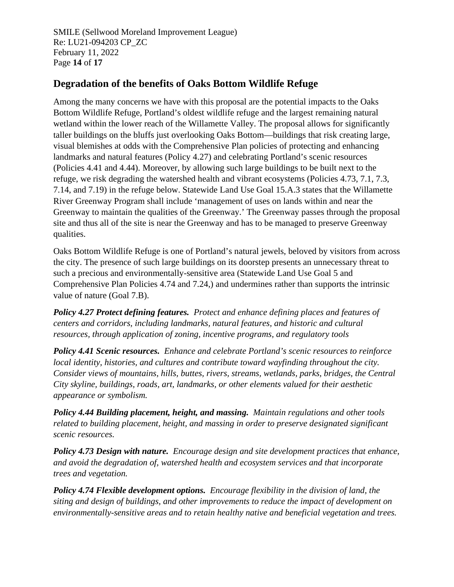SMILE (Sellwood Moreland Improvement League) Re: LU21-094203 CP\_ZC February 11, 2022 Page **14** of **17**

### **Degradation of the benefits of Oaks Bottom Wildlife Refuge**

<span id="page-14-0"></span>Among the many concerns we have with this proposal are the potential impacts to the Oaks Bottom Wildlife Refuge, Portland's oldest wildlife refuge and the largest remaining natural wetland within the lower reach of the Willamette Valley. The proposal allows for significantly taller buildings on the bluffs just overlooking Oaks Bottom—buildings that risk creating large, visual blemishes at odds with the Comprehensive Plan policies of protecting and enhancing landmarks and natural features (Policy 4.27) and celebrating Portland's scenic resources (Policies 4.41 and 4.44). Moreover, by allowing such large buildings to be built next to the refuge, we risk degrading the watershed health and vibrant ecosystems (Policies 4.73, 7.1, 7.3, 7.14, and 7.19) in the refuge below. Statewide Land Use Goal 15.A.3 states that the Willamette River Greenway Program shall include 'management of uses on lands within and near the Greenway to maintain the qualities of the Greenway.' The Greenway passes through the proposal site and thus all of the site is near the Greenway and has to be managed to preserve Greenway qualities.

Oaks Bottom Wildlife Refuge is one of Portland's natural jewels, beloved by visitors from across the city. The presence of such large buildings on its doorstep presents an unnecessary threat to such a precious and environmentally-sensitive area (Statewide Land Use Goal 5 and Comprehensive Plan Policies 4.74 and 7.24,) and undermines rather than supports the intrinsic value of nature (Goal 7.B).

*Policy 4.27 Protect defining features. Protect and enhance defining places and features of centers and corridors, including landmarks, natural features, and historic and cultural resources, through application of zoning, incentive programs, and regulatory tools*

*Policy 4.41 Scenic resources. Enhance and celebrate Portland's scenic resources to reinforce local identity, histories, and cultures and contribute toward wayfinding throughout the city. Consider views of mountains, hills, buttes, rivers, streams, wetlands, parks, bridges, the Central City skyline, buildings, roads, art, landmarks, or other elements valued for their aesthetic appearance or symbolism.*

*Policy 4.44 Building placement, height, and massing. Maintain regulations and other tools related to building placement, height, and massing in order to preserve designated significant scenic resources.*

*Policy 4.73 Design with nature. Encourage design and site development practices that enhance, and avoid the degradation of, watershed health and ecosystem services and that incorporate trees and vegetation.*

*Policy 4.74 Flexible development options. Encourage flexibility in the division of land, the siting and design of buildings, and other improvements to reduce the impact of development on environmentally-sensitive areas and to retain healthy native and beneficial vegetation and trees.*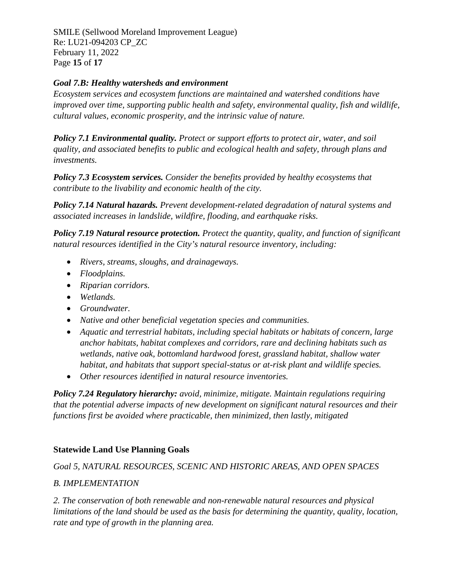SMILE (Sellwood Moreland Improvement League) Re: LU21-094203 CP\_ZC February 11, 2022 Page **15** of **17**

#### *Goal 7.B: Healthy watersheds and environment*

*Ecosystem services and ecosystem functions are maintained and watershed conditions have improved over time, supporting public health and safety, environmental quality, fish and wildlife, cultural values, economic prosperity, and the intrinsic value of nature.* 

*Policy 7.1 Environmental quality. Protect or support efforts to protect air, water, and soil quality, and associated benefits to public and ecological health and safety, through plans and investments.* 

*Policy 7.3 Ecosystem services. Consider the benefits provided by healthy ecosystems that contribute to the livability and economic health of the city.*

*Policy 7.14 Natural hazards. Prevent development-related degradation of natural systems and associated increases in landslide, wildfire, flooding, and earthquake risks.*

*Policy 7.19 Natural resource protection. Protect the quantity, quality, and function of significant natural resources identified in the City's natural resource inventory, including:*

- *Rivers, streams, sloughs, and drainageways.*
- *Floodplains.*
- *Riparian corridors.*
- *Wetlands.*
- *Groundwater.*
- *Native and other beneficial vegetation species and communities.*
- *Aquatic and terrestrial habitats, including special habitats or habitats of concern, large anchor habitats, habitat complexes and corridors, rare and declining habitats such as wetlands, native oak, bottomland hardwood forest, grassland habitat, shallow water habitat, and habitats that support special-status or at-risk plant and wildlife species.*
- *Other resources identified in natural resource inventories.*

*Policy 7.24 Regulatory hierarchy: avoid, minimize, mitigate. Maintain regulations requiring that the potential adverse impacts of new development on significant natural resources and their functions first be avoided where practicable, then minimized, then lastly, mitigated* 

### **Statewide Land Use Planning Goals**

*Goal 5, NATURAL RESOURCES, SCENIC AND HISTORIC AREAS, AND OPEN SPACES*

### *B. IMPLEMENTATION*

*2. The conservation of both renewable and non-renewable natural resources and physical limitations of the land should be used as the basis for determining the quantity, quality, location, rate and type of growth in the planning area.*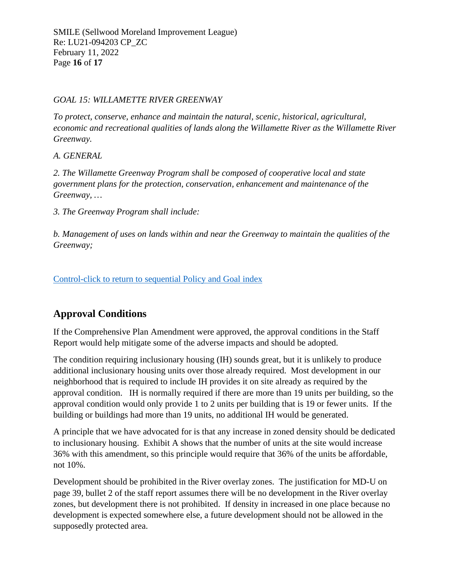#### *GOAL 15: WILLAMETTE RIVER GREENWAY*

*To protect, conserve, enhance and maintain the natural, scenic, historical, agricultural, economic and recreational qualities of lands along the Willamette River as the Willamette River Greenway.*

*A. GENERAL*

*2. The Willamette Greenway Program shall be composed of cooperative local and state government plans for the protection, conservation, enhancement and maintenance of the Greenway, …*

*3. The Greenway Program shall include:*

*b. Management of uses on lands within and near the Greenway to maintain the qualities of the Greenway;*

[Control-click to return to sequential Policy and Goal index](#page-2-0)

# **Approval Conditions**

If the Comprehensive Plan Amendment were approved, the approval conditions in the Staff Report would help mitigate some of the adverse impacts and should be adopted.

The condition requiring inclusionary housing (IH) sounds great, but it is unlikely to produce additional inclusionary housing units over those already required. Most development in our neighborhood that is required to include IH provides it on site already as required by the approval condition. IH is normally required if there are more than 19 units per building, so the approval condition would only provide 1 to 2 units per building that is 19 or fewer units. If the building or buildings had more than 19 units, no additional IH would be generated.

A principle that we have advocated for is that any increase in zoned density should be dedicated to inclusionary housing. Exhibit A shows that the number of units at the site would increase 36% with this amendment, so this principle would require that 36% of the units be affordable, not 10%.

Development should be prohibited in the River overlay zones. The justification for MD-U on page 39, bullet 2 of the staff report assumes there will be no development in the River overlay zones, but development there is not prohibited. If density in increased in one place because no development is expected somewhere else, a future development should not be allowed in the supposedly protected area.